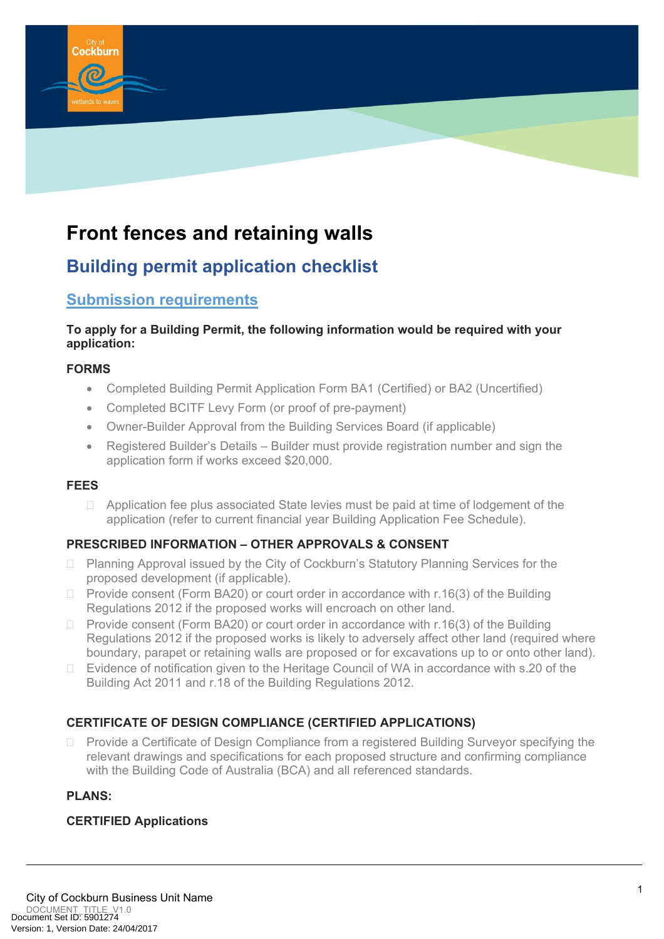

# **Front fences and retaining walls**

## **Building permit application checklist**

### **Submission requirements**

#### **To apply for a Building Permit, the following information would be required with your application:**

#### **FORMS**

- Completed Building Permit Application Form BA1 (Certified) or BA2 (Uncertified)
- Completed BCITF Levy Form (or proof of pre-payment)
- Owner-Builder Approval from the Building Services Board (if applicable)
- Registered Builder's Details Builder must provide registration number and sign the application form if works exceed \$20,000.

#### **FEES**

 $\Box$  Application fee plus associated State levies must be paid at time of lodgement of the application (refer to current financial year Building Application Fee Schedule).

#### **PRESCRIBED INFORMATION – OTHER APPROVALS & CONSENT**

- $\Box$  Planning Approval issued by the City of Cockburn's Statutory Planning Services for the proposed development (if applicable).
- $\Box$  Provide consent (Form BA20) or court order in accordance with r.16(3) of the Building Regulations 2012 if the proposed works will encroach on other land.
- $\Box$  Provide consent (Form BA20) or court order in accordance with r.16(3) of the Building Regulations 2012 if the proposed works is likely to adversely affect other land (required where boundary, parapet or retaining walls are proposed or for excavations up to or onto other land).
- □ Evidence of notification given to the Heritage Council of WA in accordance with s.20 of the Building Act 2011 and r.18 of the Building Regulations 2012.

#### **CERTIFICATE OF DESIGN COMPLIANCE (CERTIFIED APPLICATIONS)**

 Provide a Certificate of Design Compliance from a registered Building Surveyor specifying the relevant drawings and specifications for each proposed structure and confirming compliance with the Building Code of Australia (BCA) and all referenced standards.

#### **PLANS:**

#### **CERTIFIED Applications**